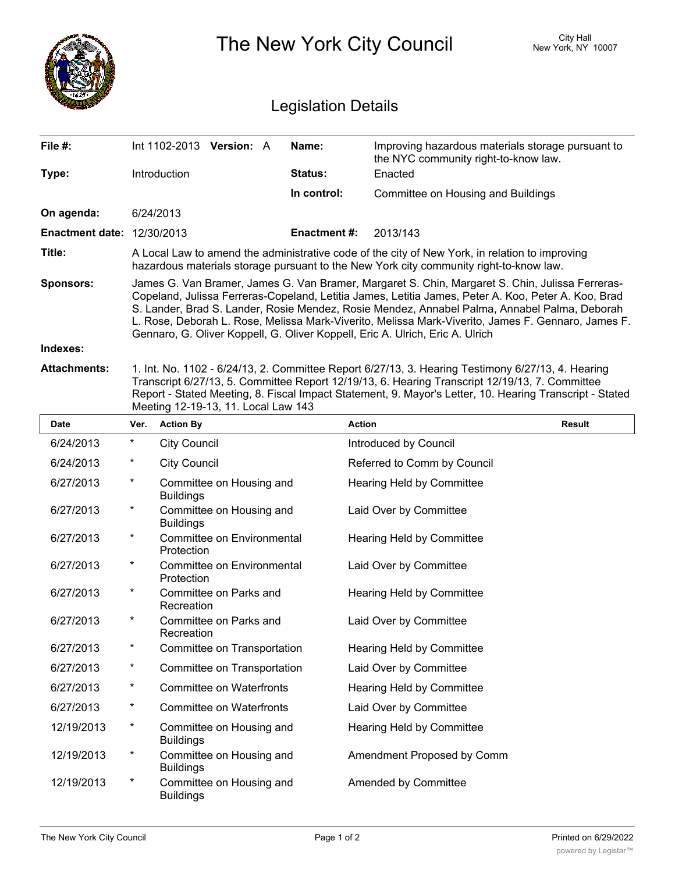|                                   |                                                                                                                                                                                                                                                                                                                                                                                                                                                                                               | City Hall<br>The New York City Council<br>New York, NY 10007 |                                                                                           |  |  |  |
|-----------------------------------|-----------------------------------------------------------------------------------------------------------------------------------------------------------------------------------------------------------------------------------------------------------------------------------------------------------------------------------------------------------------------------------------------------------------------------------------------------------------------------------------------|--------------------------------------------------------------|-------------------------------------------------------------------------------------------|--|--|--|
|                                   | <b>Legislation Details</b>                                                                                                                                                                                                                                                                                                                                                                                                                                                                    |                                                              |                                                                                           |  |  |  |
| File #:                           | Int 1102-2013 Version: A                                                                                                                                                                                                                                                                                                                                                                                                                                                                      | Name:                                                        | Improving hazardous materials storage pursuant to<br>the NYC community right-to-know law. |  |  |  |
| Type:                             | Introduction                                                                                                                                                                                                                                                                                                                                                                                                                                                                                  | Status:                                                      | Enacted                                                                                   |  |  |  |
|                                   |                                                                                                                                                                                                                                                                                                                                                                                                                                                                                               | In control:                                                  | Committee on Housing and Buildings                                                        |  |  |  |
| On agenda:                        | 6/24/2013                                                                                                                                                                                                                                                                                                                                                                                                                                                                                     |                                                              |                                                                                           |  |  |  |
| <b>Enactment date: 12/30/2013</b> |                                                                                                                                                                                                                                                                                                                                                                                                                                                                                               | Enactment #:                                                 | 2013/143                                                                                  |  |  |  |
| Title:                            | A Local Law to amend the administrative code of the city of New York, in relation to improving<br>hazardous materials storage pursuant to the New York city community right-to-know law.                                                                                                                                                                                                                                                                                                      |                                                              |                                                                                           |  |  |  |
| <b>Sponsors:</b>                  | James G. Van Bramer, James G. Van Bramer, Margaret S. Chin, Margaret S. Chin, Julissa Ferreras-<br>Copeland, Julissa Ferreras-Copeland, Letitia James, Letitia James, Peter A. Koo, Peter A. Koo, Brad<br>S. Lander, Brad S. Lander, Rosie Mendez, Rosie Mendez, Annabel Palma, Annabel Palma, Deborah<br>L. Rose, Deborah L. Rose, Melissa Mark-Viverito, Melissa Mark-Viverito, James F. Gennaro, James F.<br>Gennaro, G. Oliver Koppell, G. Oliver Koppell, Eric A. Ulrich, Eric A. Ulrich |                                                              |                                                                                           |  |  |  |
| Indexes:                          |                                                                                                                                                                                                                                                                                                                                                                                                                                                                                               |                                                              |                                                                                           |  |  |  |
| <b>Attachments:</b>               | 1. Int. No. 1102 - 6/24/13, 2. Committee Report 6/27/13, 3. Hearing Testimony 6/27/13, 4. Hearing<br>Transcript 6/27/13, 5. Committee Report 12/19/13, 6. Hearing Transcript 12/19/13, 7. Committee<br>Report - Stated Meeting, 8. Fiscal Impact Statement, 9. Mayor's Letter, 10. Hearing Transcript - Stated<br>Meeting 12-19-13, 11. Local Law 143                                                                                                                                         |                                                              |                                                                                           |  |  |  |

| <b>Date</b> | Ver.     | <b>Action By</b>                             | <b>Action</b>                    | <b>Result</b> |
|-------------|----------|----------------------------------------------|----------------------------------|---------------|
| 6/24/2013   | $^\ast$  | <b>City Council</b>                          | Introduced by Council            |               |
| 6/24/2013   | *        | <b>City Council</b>                          | Referred to Comm by Council      |               |
| 6/27/2013   | $\star$  | Committee on Housing and<br><b>Buildings</b> | Hearing Held by Committee        |               |
| 6/27/2013   | *        | Committee on Housing and<br><b>Buildings</b> | Laid Over by Committee           |               |
| 6/27/2013   | *        | Committee on Environmental<br>Protection     | Hearing Held by Committee        |               |
| 6/27/2013   | $^\star$ | Committee on Environmental<br>Protection     | Laid Over by Committee           |               |
| 6/27/2013   | $^\star$ | Committee on Parks and<br>Recreation         | <b>Hearing Held by Committee</b> |               |
| 6/27/2013   | $^\star$ | Committee on Parks and<br>Recreation         | Laid Over by Committee           |               |
| 6/27/2013   | $^\ast$  | Committee on Transportation                  | Hearing Held by Committee        |               |
| 6/27/2013   | *        | Committee on Transportation                  | Laid Over by Committee           |               |
| 6/27/2013   | *        | <b>Committee on Waterfronts</b>              | Hearing Held by Committee        |               |
| 6/27/2013   | *        | <b>Committee on Waterfronts</b>              | Laid Over by Committee           |               |
| 12/19/2013  | *        | Committee on Housing and<br><b>Buildings</b> | Hearing Held by Committee        |               |
| 12/19/2013  | $^\star$ | Committee on Housing and<br><b>Buildings</b> | Amendment Proposed by Comm       |               |
| 12/19/2013  | $^\star$ | Committee on Housing and<br><b>Buildings</b> | Amended by Committee             |               |